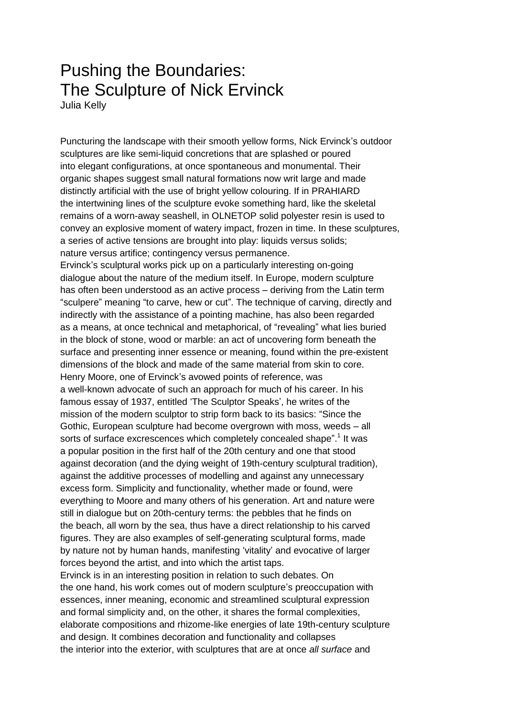## Pushing the Boundaries: The Sculpture of Nick Ervinck Julia Kelly

Puncturing the landscape with their smooth yellow forms, Nick Ervinck's outdoor sculptures are like semi-liquid concretions that are splashed or poured into elegant configurations, at once spontaneous and monumental. Their organic shapes suggest small natural formations now writ large and made distinctly artificial with the use of bright yellow colouring. If in PRAHIARD the intertwining lines of the sculpture evoke something hard, like the skeletal remains of a worn-away seashell, in OLNETOP solid polyester resin is used to convey an explosive moment of watery impact, frozen in time. In these sculptures, a series of active tensions are brought into play: liquids versus solids; nature versus artifice; contingency versus permanence. Ervinck's sculptural works pick up on a particularly interesting on-going dialogue about the nature of the medium itself. In Europe, modern sculpture has often been understood as an active process – deriving from the Latin term "sculpere" meaning "to carve, hew or cut". The technique of carving, directly and indirectly with the assistance of a pointing machine, has also been regarded as a means, at once technical and metaphorical, of "revealing" what lies buried in the block of stone, wood or marble: an act of uncovering form beneath the surface and presenting inner essence or meaning, found within the pre-existent dimensions of the block and made of the same material from skin to core. Henry Moore, one of Ervinck's avowed points of reference, was a well-known advocate of such an approach for much of his career. In his famous essay of 1937, entitled 'The Sculptor Speaks', he writes of the mission of the modern sculptor to strip form back to its basics: "Since the Gothic, European sculpture had become overgrown with moss, weeds – all sorts of surface excrescences which completely concealed shape".<sup>1</sup> It was a popular position in the first half of the 20th century and one that stood against decoration (and the dying weight of 19th-century sculptural tradition), against the additive processes of modelling and against any unnecessary excess form. Simplicity and functionality, whether made or found, were everything to Moore and many others of his generation. Art and nature were still in dialogue but on 20th-century terms: the pebbles that he finds on the beach, all worn by the sea, thus have a direct relationship to his carved figures. They are also examples of self-generating sculptural forms, made by nature not by human hands, manifesting 'vitality' and evocative of larger forces beyond the artist, and into which the artist taps.

Ervinck is in an interesting position in relation to such debates. On the one hand, his work comes out of modern sculpture's preoccupation with essences, inner meaning, economic and streamlined sculptural expression and formal simplicity and, on the other, it shares the formal complexities, elaborate compositions and rhizome-like energies of late 19th-century sculpture and design. It combines decoration and functionality and collapses the interior into the exterior, with sculptures that are at once *all surface* and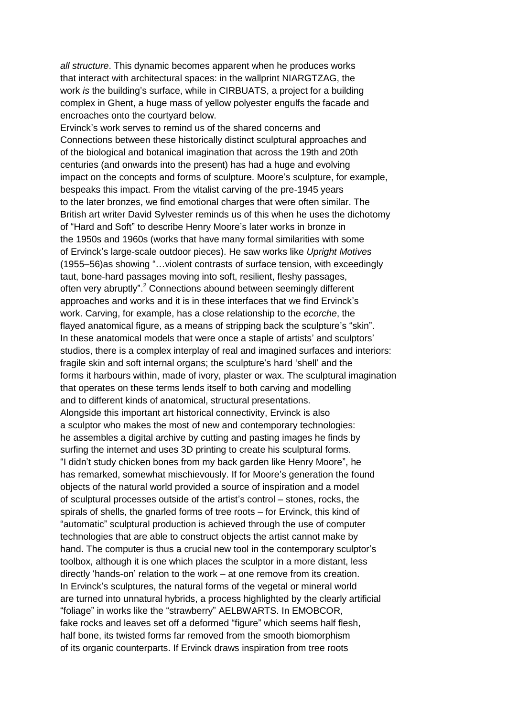*all structure*. This dynamic becomes apparent when he produces works that interact with architectural spaces: in the wallprint NIARGTZAG, the work *is* the building's surface, while in CIRBUATS, a project for a building complex in Ghent, a huge mass of yellow polyester engulfs the facade and encroaches onto the courtyard below.

Ervinck's work serves to remind us of the shared concerns and Connections between these historically distinct sculptural approaches and of the biological and botanical imagination that across the 19th and 20th centuries (and onwards into the present) has had a huge and evolving impact on the concepts and forms of sculpture. Moore's sculpture, for example, bespeaks this impact. From the vitalist carving of the pre-1945 years to the later bronzes, we find emotional charges that were often similar. The British art writer David Sylvester reminds us of this when he uses the dichotomy of "Hard and Soft" to describe Henry Moore's later works in bronze in the 1950s and 1960s (works that have many formal similarities with some of Ervinck's large-scale outdoor pieces). He saw works like *Upright Motives* (1955–56)as showing "…violent contrasts of surface tension, with exceedingly taut, bone-hard passages moving into soft, resilient, fleshy passages, often very abruptly".<sup>2</sup> Connections abound between seemingly different approaches and works and it is in these interfaces that we find Ervinck's work. Carving, for example, has a close relationship to the *ecorche*, the flayed anatomical figure, as a means of stripping back the sculpture's "skin". In these anatomical models that were once a staple of artists' and sculptors' studios, there is a complex interplay of real and imagined surfaces and interiors: fragile skin and soft internal organs; the sculpture's hard 'shell' and the forms it harbours within, made of ivory, plaster or wax. The sculptural imagination that operates on these terms lends itself to both carving and modelling and to different kinds of anatomical, structural presentations. Alongside this important art historical connectivity, Ervinck is also a sculptor who makes the most of new and contemporary technologies: he assembles a digital archive by cutting and pasting images he finds by surfing the internet and uses 3D printing to create his sculptural forms. "I didn't study chicken bones from my back garden like Henry Moore", he has remarked, somewhat mischievously. If for Moore's generation the found objects of the natural world provided a source of inspiration and a model of sculptural processes outside of the artist's control – stones, rocks, the spirals of shells, the gnarled forms of tree roots – for Ervinck, this kind of "automatic" sculptural production is achieved through the use of computer technologies that are able to construct objects the artist cannot make by hand. The computer is thus a crucial new tool in the contemporary sculptor's toolbox, although it is one which places the sculptor in a more distant, less directly 'hands-on' relation to the work – at one remove from its creation. In Ervinck's sculptures, the natural forms of the vegetal or mineral world are turned into unnatural hybrids, a process highlighted by the clearly artificial "foliage" in works like the "strawberry" AELBWARTS. In EMOBCOR, fake rocks and leaves set off a deformed "figure" which seems half flesh, half bone, its twisted forms far removed from the smooth biomorphism of its organic counterparts. If Ervinck draws inspiration from tree roots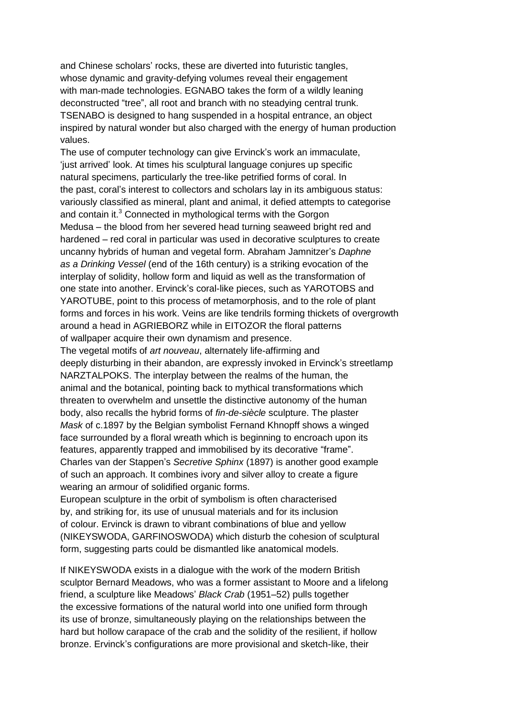and Chinese scholars' rocks, these are diverted into futuristic tangles, whose dynamic and gravity-defying volumes reveal their engagement with man-made technologies. EGNABO takes the form of a wildly leaning deconstructed "tree", all root and branch with no steadying central trunk. TSENABO is designed to hang suspended in a hospital entrance, an object inspired by natural wonder but also charged with the energy of human production values.

The use of computer technology can give Ervinck's work an immaculate, 'just arrived' look. At times his sculptural language conjures up specific natural specimens, particularly the tree-like petrified forms of coral. In the past, coral's interest to collectors and scholars lay in its ambiguous status: variously classified as mineral, plant and animal, it defied attempts to categorise and contain it.<sup>3</sup> Connected in mythological terms with the Gorgon Medusa – the blood from her severed head turning seaweed bright red and hardened – red coral in particular was used in decorative sculptures to create uncanny hybrids of human and vegetal form. Abraham Jamnitzer's *Daphne as a Drinking Vessel* (end of the 16th century) is a striking evocation of the interplay of solidity, hollow form and liquid as well as the transformation of one state into another. Ervinck's coral-like pieces, such as YAROTOBS and YAROTUBE, point to this process of metamorphosis, and to the role of plant forms and forces in his work. Veins are like tendrils forming thickets of overgrowth around a head in AGRIEBORZ while in EITOZOR the floral patterns of wallpaper acquire their own dynamism and presence.

The vegetal motifs of *art nouveau*, alternately life-affirming and deeply disturbing in their abandon, are expressly invoked in Ervinck's streetlamp NARZTALPOKS. The interplay between the realms of the human, the animal and the botanical, pointing back to mythical transformations which threaten to overwhelm and unsettle the distinctive autonomy of the human body, also recalls the hybrid forms of *fin-de-siècle* sculpture. The plaster *Mask* of c.1897 by the Belgian symbolist Fernand Khnopff shows a winged face surrounded by a floral wreath which is beginning to encroach upon its features, apparently trapped and immobilised by its decorative "frame". Charles van der Stappen's *Secretive Sphinx* (1897) is another good example of such an approach. It combines ivory and silver alloy to create a figure wearing an armour of solidified organic forms.

European sculpture in the orbit of symbolism is often characterised by, and striking for, its use of unusual materials and for its inclusion of colour. Ervinck is drawn to vibrant combinations of blue and yellow (NIKEYSWODA, GARFINOSWODA) which disturb the cohesion of sculptural form, suggesting parts could be dismantled like anatomical models.

If NIKEYSWODA exists in a dialogue with the work of the modern British sculptor Bernard Meadows, who was a former assistant to Moore and a lifelong friend, a sculpture like Meadows' *Black Crab* (1951–52) pulls together the excessive formations of the natural world into one unified form through its use of bronze, simultaneously playing on the relationships between the hard but hollow carapace of the crab and the solidity of the resilient, if hollow bronze. Ervinck's configurations are more provisional and sketch-like, their